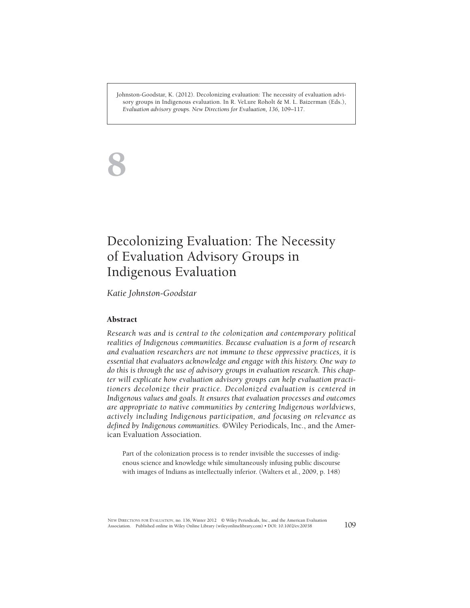Johnston-Goodstar, K. (2012). Decolonizing evaluation: The necessity of evaluation advisory groups in Indigenous evaluation. In R. VeLure Roholt & M. L. Baizerman (Eds.), *Evaluation advisory groups. New Directions for Evaluation, 136,* 109–117.

# **8**

# Decolonizing Evaluation: The Necessity of Evaluation Advisory Groups in Indigenous Evaluation

*Katie Johnston-Goodstar*

# **Abstract**

*Research was and is central to the colonization and contemporary political realities of Indigenous communities. Because evaluation is a form of research and evaluation researchers are not immune to these oppressive practices, it is essential that evaluators acknowledge and engage with this history. One way to do this is through the use of advisory groups in evaluation research. This chapter will explicate how evaluation advisory groups can help evaluation practitioners decolonize their practice. Decolonized evaluation is centered in Indigenous values and goals. It ensures that evaluation processes and outcomes are appropriate to native communities by centering Indigenous worldviews, actively including Indigenous participation, and focusing on relevance as defined by Indigenous communities.* ©Wiley Periodicals, Inc., and the American Evaluation Association.

Part of the colonization process is to render invisible the successes of indigenous science and knowledge while simultaneously infusing public discourse with images of Indians as intellectually inferior. (Walters et al., 2009, p. 148)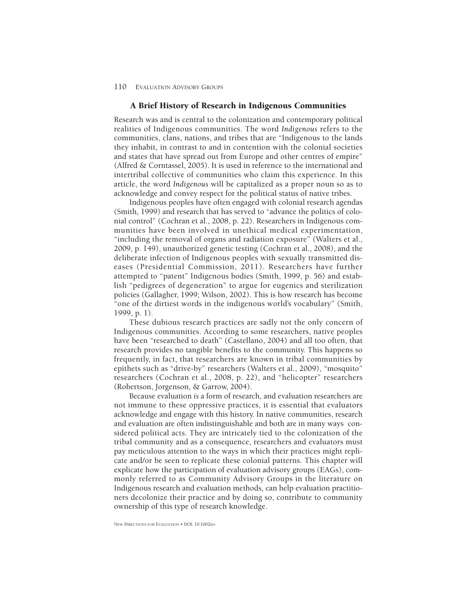# **A Brief History of Research in Indigenous Communities**

Research was and is central to the colonization and contemporary political realities of Indigenous communities. The word *Indigenous* refers to the communities, clans, nations, and tribes that are "Indigenous to the lands they inhabit, in contrast to and in contention with the colonial societies and states that have spread out from Europe and other centres of empire" (Alfred & Corntassel, 2005). It is used in reference to the international and intertribal collective of communities who claim this experience. In this article, the word *Indigenous* will be capitalized as a proper noun so as to acknowledge and convey respect for the political status of native tribes.

Indigenous peoples have often engaged with colonial research agendas (Smith, 1999) and research that has served to "advance the politics of colonial control" (Cochran et al., 2008, p. 22). Researchers in Indigenous communities have been involved in unethical medical experimentation, "including the removal of organs and radiation exposure" (Walters et al., 2009, p. 149), unauthorized genetic testing (Cochran et al., 2008), and the deliberate infection of Indigenous peoples with sexually transmitted diseases (Presidential Commission, 2011). Researchers have further attempted to "patent" Indigenous bodies (Smith, 1999, p. 56) and establish "pedigrees of degeneration" to argue for eugenics and sterilization policies (Gallagher, 1999; Wilson, 2002). This is how research has become "one of the dirtiest words in the indigenous world's vocabulary" (Smith, 1999, p. 1).

These dubious research practices are sadly not the only concern of Indigenous communities. According to some researchers, native peoples have been "researched to death" (Castellano, 2004) and all too often, that research provides no tangible benefits to the community. This happens so frequently, in fact, that researchers are known in tribal communities by epithets such as "drive-by" researchers (Walters et al., 2009), "mosquito" researchers (Cochran et al., 2008, p. 22), and "helicopter" researchers (Robertson, Jorgenson, & Garrow, 2004).

Because evaluation *is* a form of research, and evaluation researchers are not immune to these oppressive practices, it is essential that evaluators acknowledge and engage with this history. In native communities, research and evaluation are often indistinguishable and both are in many ways considered political acts. They are intricately tied to the colonization of the tribal community and as a consequence, researchers and evaluators must pay meticulous attention to the ways in which their practices might replicate and/or be seen to replicate these colonial patterns. This chapter will explicate how the participation of evaluation advisory groups (EAGs), commonly referred to as Community Advisory Groups in the literature on Indigenous research and evaluation methods, can help evaluation practitioners decolonize their practice and by doing so, contribute to community ownership of this type of research knowledge.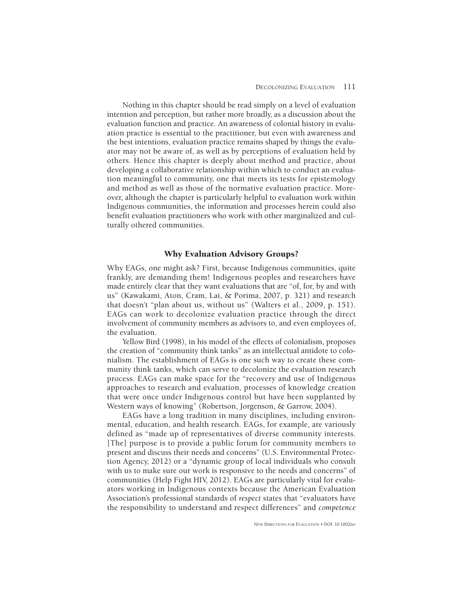Nothing in this chapter should be read simply on a level of evaluation intention and perception, but rather more broadly, as a discussion about the evaluation function and practice. An awareness of colonial history in evaluation practice is essential to the practitioner, but even with awareness and the best intentions, evaluation practice remains shaped by things the evaluator may not be aware of, as well as by perceptions of evaluation held by others. Hence this chapter is deeply about method and practice, about developing a collaborative relationship within which to conduct an evaluation meaningful to community, one that meets its tests for epistemology and method as well as those of the normative evaluation practice. Moreover, although the chapter is particularly helpful to evaluation work within Indigenous communities, the information and processes herein could also benefit evaluation practitioners who work with other marginalized and culturally othered communities.

## **Why Evaluation Advisory Groups?**

Why EAGs, one might ask? First, because Indigenous communities, quite frankly, are demanding them! Indigenous peoples and researchers have made entirely clear that they want evaluations that are "of, for, by and with us" (Kawakami, Aton, Cram, Lai, & Porima, 2007, p. 321) and research that doesn't "plan about us, without us" (Walters et al., 2009, p. 151). EAGs can work to decolonize evaluation practice through the direct involvement of community members as advisors to, and even employees of, the evaluation.

Yellow Bird (1998), in his model of the effects of colonialism, proposes the creation of "community think tanks" as an intellectual antidote to colonialism. The establishment of EAGs is one such way to create these community think tanks, which can serve to decolonize the evaluation research process. EAGs can make space for the "recovery and use of Indigenous approaches to research and evaluation, processes of knowledge creation that were once under Indigenous control but have been supplanted by Western ways of knowing" (Robertson, Jorgenson, & Garrow, 2004).

EAGs have a long tradition in many disciplines, including environmental, education, and health research. EAGs, for example, are variously defined as "made up of representatives of diverse community interests. [The] purpose is to provide a public forum for community members to present and discuss their needs and concerns" (U.S. Environmental Protection Agency, 2012) or a "dy namic group of local individuals who consult with us to make sure our work is responsive to the needs and concerns" of communities (Help Fight HIV, 2012). EAGs are particularly vital for evaluators working in Indigenous contexts because the American Evaluation Association's professional standards of *respect* states that "evaluators have the responsibility to understand and respect differences" and *competence*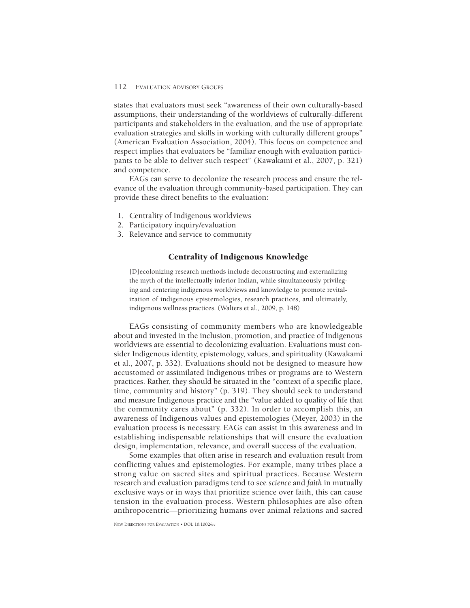states that evaluators must seek "awareness of their own culturally-based assumptions, their understanding of the worldviews of culturally-different participants and stakeholders in the evaluation, and the use of appropriate evaluation strategies and skills in working with culturally different groups" (American Evaluation Association, 2004). This focus on competence and respect implies that evaluators be "familiar enough with evaluation participants to be able to deliver such respect" (Kawakami et al., 2007, p. 321) and competence.

EAGs can serve to decolonize the research process and ensure the relevance of the evaluation through community-based participation. They can provide these direct benefits to the evaluation:

- 1. Centrality of Indigenous worldviews
- 2. Participatory inquiry/evaluation
- 3. Relevance and service to community

# **Centrality of Indigenous Knowledge**

[D]ecolonizing research methods include deconstructing and externalizing the myth of the intellectually inferior Indian, while simultaneously privileging and centering indigenous worldviews and knowledge to promote revitalization of indigenous epistemologies, research practices, and ultimately, indigenous wellness practices. (Walters et al., 2009, p. 148)

EAGs consisting of community members who are knowledgeable about and invested in the inclusion, promotion, and practice of Indigenous worldviews are essential to decolonizing evaluation. Evaluations must consider Indigenous identity, epistemology, values, and spirituality (Kawakami et al., 2007, p. 332). Evaluations should not be designed to measure how accustomed or assimilated Indigenous tribes or programs are to Western practices. Rather, they should be situated in the "context of a specific place, time, community and history" (p. 319). They should seek to understand and measure Indigenous practice and the "value added to quality of life that the community cares about" (p. 332). In order to accomplish this, an awareness of Indigenous values and epistemologies (Meyer, 2003) in the evaluation process is necessary. EAGs can assist in this awareness and in establishing indispensable relationships that will ensure the evaluation design, implementation, relevance, and overall success of the evaluation.

Some examples that often arise in research and evaluation result from conflicting values and epistemologies. For example, many tribes place a strong value on sacred sites and spiritual practices. Because Western research and evaluation paradigms tend to see *science* and *faith* in mutually exclusive ways or in ways that prioritize science over faith, this can cause tension in the evaluation process. Western philosophies are also often anthropocentric—prioritizing humans over animal relations and sacred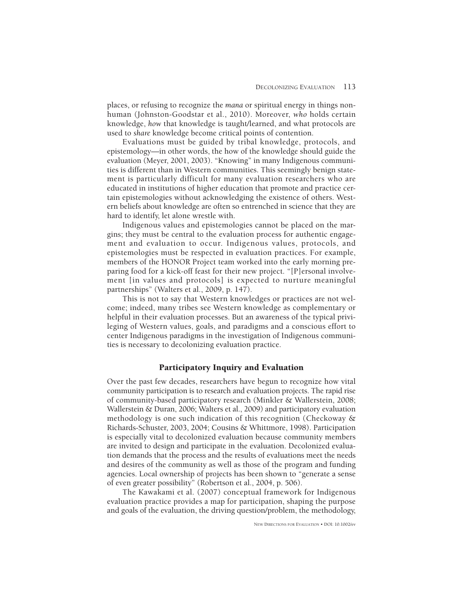places, or refusing to recognize the *mana* or spiritual energy in things nonhuman (Johnston-Goodstar et al., 2010). Moreover, *who* holds certain knowledge, *how* that knowledge is taught/learned, and what protocols are used to *share* knowledge become critical points of contention.

Evaluations must be guided by tribal knowledge, protocols, and epistemology—in other words, the how of the knowledge should guide the evaluation (Meyer, 2001, 2003). "Knowing" in many Indigenous communities is different than in Western communities. This seemingly benign statement is particularly difficult for many evaluation researchers who are educated in institutions of higher education that promote and practice certain epistemologies without acknowledging the existence of others. Western beliefs about knowledge are often so entrenched in science that they are hard to identify, let alone wrestle with.

Indigenous values and epistemologies cannot be placed on the margins; they must be central to the evaluation process for authentic engagement and evaluation to occur. Indigenous values, protocols, and epistemologies must be respected in evaluation practices. For example, members of the HONOR Project team worked into the early morning preparing food for a kick-off feast for their new project. "[P]ersonal involvement [in values and protocols] is expected to nurture meaningful partnerships" (Walters et al., 2009, p. 147).

This is not to say that Western knowledges or practices are not welcome; indeed, many tribes see Western knowledge as complementary or helpful in their evaluation processes. But an awareness of the typical privileging of Western values, goals, and paradigms and a conscious effort to center Indigenous paradigms in the investigation of Indigenous communities is necessary to decolonizing evaluation practice.

# **Participatory Inquiry and Evaluation**

Over the past few decades, researchers have begun to recognize how vital community participation is to research and evaluation projects. The rapid rise of community-based participatory research (Minkler & Wallerstein, 2008; Wallerstein & Duran, 2006; Walters et al., 2009) and participatory evaluation methodology is one such indication of this recognition (Checkoway & Richards-Schuster, 2003, 2004; Cousins & Whittmore, 1998). Participation is especially vital to decolonized evaluation because community members are invited to design and participate in the evaluation. Decolonized evaluation demands that the process and the results of evaluations meet the needs and desires of the community as well as those of the program and funding agencies. Local ownership of projects has been shown to "generate a sense of even greater possibility" (Robertson et al., 2004, p. 506).

The Kawakami et al. (2007) conceptual framework for Indigenous evaluation practice provides a map for participation, shaping the purpose and goals of the evaluation, the driving question/problem, the methodology,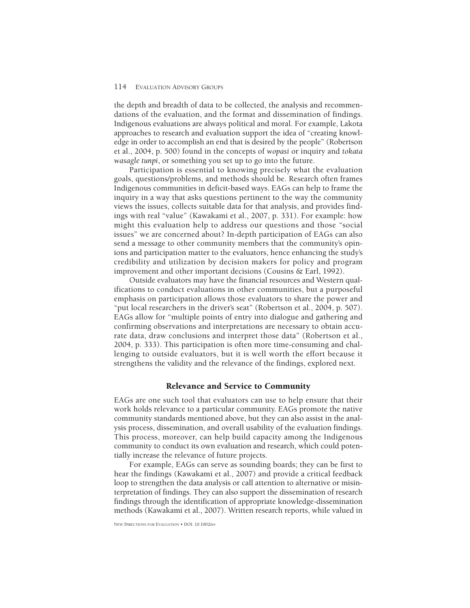the depth and breadth of data to be collected, the analysis and recommendations of the evaluation, and the format and dissemination of findings. Indigenous evaluations are always political and moral. For example, Lakota approaches to research and evaluation support the idea of "creating knowledge in order to accomplish an end that is desired by the people" (Robertson et al., 2004, p. 500) found in the concepts of *wopasi* or inquiry and *tokata wasagle tunpi*, or something you set up to go into the future.

Participation is essential to knowing precisely what the evaluation goals, questions/problems, and methods should be. Research often frames Indigenous communities in deficit-based ways. EAGs can help to frame the inquiry in a way that asks questions pertinent to the way the community views the issues, collects suitable data for that analysis, and provides findings with real "value" (Kawakami et al., 2007, p. 331). For example: how might this evaluation help to address our questions and those "social issues" we are concerned about? In-depth participation of EAGs can also send a message to other community members that the community's opinions and participation matter to the evaluators, hence enhancing the study's credibility and utilization by decision makers for policy and program improvement and other important decisions (Cousins & Earl, 1992).

Outside evaluators may have the financial resources and Western qualifications to conduct evaluations in other communities, but a purposeful emphasis on participation allows those evaluators to share the power and "put local researchers in the driver's seat" (Robertson et al., 2004, p. 507). EAGs allow for "multiple points of entry into dialogue and gathering and confirming observations and interpretations are necessary to obtain accurate data, draw conclusions and interpret those data" (Robertson et al., 2004, p. 333). This participation is often more time-consuming and challenging to outside evaluators, but it is well worth the effort because it strengthens the validity and the relevance of the findings, explored next.

# **Relevance and Service to Community**

EAGs are one such tool that evaluators can use to help ensure that their work holds relevance to a particular community. EAGs promote the native community standards mentioned above, but they can also assist in the analysis process, dissemination, and overall usability of the evaluation findings. This process, moreover, can help build capacity among the Indigenous community to conduct its own evaluation and research, which could potentially increase the relevance of future projects.

For example, EAGs can serve as sounding boards; they can be first to hear the findings (Kawakami et al., 2007) and provide a critical feedback loop to strengthen the data analysis or call attention to alternative or misinterpretation of findings. They can also support the dissemination of research findings through the identification of appropriate knowledge-dissemination methods (Kawakami et al., 2007). Written research reports, while valued in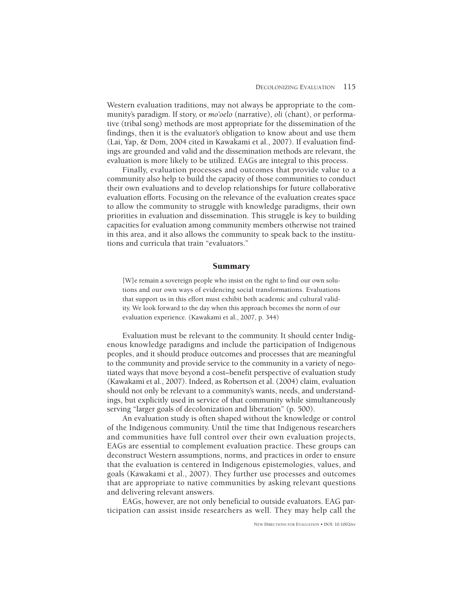Western evaluation traditions, may not always be appropriate to the community's paradigm. If story, or *mo'oelo* (narrative), *oli* (chant), or performative (tribal song) methods are most appropriate for the dissemination of the findings, then it is the evaluator's obligation to know about and use them (Lai, Yap, & Dom, 2004 cited in Kawakami et al., 2007). If evaluation findings are grounded and valid and the dissemination methods are relevant, the evaluation is more likely to be utilized. EAGs are integral to this process.

Finally, evaluation processes and outcomes that provide value to a community also help to build the capacity of those communities to conduct their own evaluations and to develop relationships for future collaborative evaluation efforts. Focusing on the relevance of the evaluation creates space to allow the community to struggle with knowledge paradigms, their own priorities in evaluation and dissemination. This struggle is key to building capacities for evaluation among community members otherwise not trained in this area, and it also allows the community to speak back to the institutions and curricula that train "evaluators."

## **Summary**

[W]e remain a sovereign people who insist on the right to find our own solutions and our own ways of evidencing social transformations. Evaluations that support us in this effort must exhibit both academic and cultural validity. We look forward to the day when this approach becomes the norm of our evaluation experience. (Kawakami et al., 2007, p. 344)

Evaluation must be relevant to the community. It should center Indigenous knowledge paradigms and include the participation of Indigenous peoples, and it should produce outcomes and processes that are meaningful to the community and provide service to the community in a variety of negotiated ways that move beyond a cost–benefit perspective of evaluation study (Kawakami et al., 2007). Indeed, as Robertson et al. (2004) claim, evaluation should not only be relevant to a community's wants, needs, and understandings, but explicitly used in service of that community while simultaneously serving "larger goals of decolonization and liberation" (p. 500).

An evaluation study is often shaped without the knowledge or control of the Indigenous community. Until the time that Indigenous researchers and communities have full control over their own evaluation projects, EAGs are essential to complement evaluation practice. These groups can deconstruct Western assumptions, norms, and practices in order to ensure that the evaluation is centered in Indigenous epistemologies, values, and goals (Kawakami et al., 2007). They further use processes and outcomes that are appropriate to native communities by asking relevant questions and delivering relevant answers.

EAGs, however, are not only beneficial to outside evaluators. EAG participation can assist inside researchers as well. They may help call the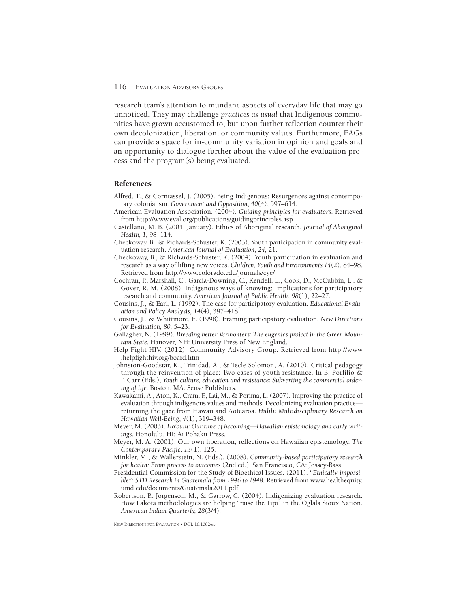research team's attention to mundane aspects of everyday life that may go unnoticed. They may challenge *practices as usual* that Indigenous communities have grown accustomed to, but upon further reflection counter their own decolonization, liberation, or community values. Furthermore, EAGs can provide a space for in-community variation in opinion and goals and an opportunity to dialogue further about the value of the evaluation process and the program(s) being evaluated.

### **References**

- Alfred, T., & Corntassel, J. (2005). Being Indigenous: Resurgences against contemporary colonialism*. Government and Opposition*, *40*(4), 597–614.
- American Evaluation Association. (2004). *Guiding principles for evaluators*. Retrieved from http://www.eval.org/publications/guidingprinciples.asp
- Castellano, M. B. (2004, January). Ethics of Aboriginal research. *Journal of Aboriginal Health, 1,* 98–114.
- Checkoway, B., & Richards-Schuster, K. (2003). Youth participation in community evaluation research. *American Journal of Evaluation, 24,* 21.
- Checkoway, B., & Richards-Schuster, K. (2004). Youth participation in evaluation and research as a way of lifting new voices. *Children, Youth and Environments 14*(2), 84*–*98. Retrieved from http://www.colorado.edu/journals/cye/
- Cochran, P., Marshall, C., Garcia-Downing, C., Kendell, E., Cook, D., McCubbin, L., & Gover, R. M. (2008). Indigenous ways of knowing: Implications for participatory research and community. *American Journal of Public Health*, *98*(1), 22–27.
- Cousins, J., & Earl, L. (1992). The case for participatory evaluation. *Educational Evaluation and Policy Analysis, 14*(4), 397*–*418.
- Cousins, J., & Whittmore, E. (1998). Framing participatory evaluation. *New Directions for Evaluation, 80,* 5–23.
- Gallagher, N. (1999). *Breeding better Vermonters: The eugenics project in the Green Mountain State.* Hanover, NH: University Press of New England.
- Help Fight HIV. (2012). Community Advisory Group. Retrieved from http://www .helpfighthiv.org/board.htm
- Johnston-Goodstar, K., Trinidad, A., & Tecle Solomon, A. (2010). Critical pedagogy through the reinvention of place: Two cases of youth resistance. In B. Porfilio & P. Carr (Eds.), *Youth culture, education and resistance: Subverting the commercial ordering of life.* Boston, MA: Sense Publishers.
- Kawakami, A., Aton, K., Cram, F., Lai, M., & Porima, L. (2007). Improving the practice of evaluation through indigenous values and methods: Decolonizing evaluation practice returning the gaze from Hawaii and Aotearoa. *Hulili: Multidisciplinary Research on Hawaiian Well-Being*, *4*(1), 319–348.
- Meyer, M. (2003). *Ho'oulu: Our time of becoming—Hawaiian epistemology and early writings.* Honolulu, HI: Ai Pohaku Press.
- Meyer, M. A. (2001). Our own liberation; reflections on Hawaiian epistemology. *The Contemporary Pacific, 13*(1), 125.
- Minkler, M., & Wallerstein, N. (Eds.). (2008). *Community-based participatory research for health: From process to outcomes* (2nd ed.). San Francisco, CA: Jossey-Bass.
- Presidential Commission for the Study of Bioethical Issues. (2011). **"***Ethically impossible": STD Research in Guatemala from 1946 to 1948.* Retrieved from www.healthequity. umd.edu/documents/Guatemala2011.pdf
- Robertson, P., Jorgenson, M., & Garrow, C. (2004). Indigenizing evaluation research: How Lakota methodologies are helping "raise the Tipi" in the Oglala Sioux Nation. *American Indian Quarterly, 28*(3/4).